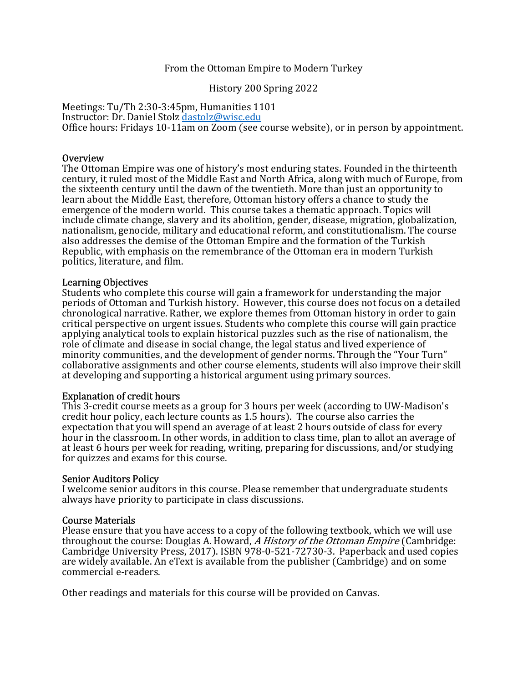#### From the Ottoman Empire to Modern Turkey

History 200 Spring 2022

Meetings: Tu/Th 2:30-3:45pm, Humanities 1101 Instructor: Dr. Daniel Stolz dastolz@wisc.edu Office hours: Fridays 10-11am on Zoom (see course website), or in person by appointment.

#### Overview

The Ottoman Empire was one of history's most enduring states. Founded in the thirteenth century, it ruled most of the Middle East and North Africa, along with much of Europe, from the sixteenth century until the dawn of the twentieth. More than just an opportunity to learn about the Middle East, therefore, Ottoman history offers a chance to study the emergence of the modern world. This course takes a thematic approach. Topics will include climate change, slavery and its abolition, gender, disease, migration, globalization, nationalism, genocide, military and educational reform, and constitutionalism. The course also addresses the demise of the Ottoman Empire and the formation of the Turkish Republic, with emphasis on the remembrance of the Ottoman era in modern Turkish politics, literature, and film.

#### Learning Objectives

Students who complete this course will gain a framework for understanding the major periods of Ottoman and Turkish history. However, this course does not focus on a detailed chronological narrative. Rather, we explore themes from Ottoman history in order to gain critical perspective on urgent issues. Students who complete this course will gain practice applying analytical tools to explain historical puzzles such as the rise of nationalism, the role of climate and disease in social change, the legal status and lived experience of minority communities, and the development of gender norms. Through the "Your Turn" collaborative assignments and other course elements, students will also improve their skill at developing and supporting a historical argument using primary sources.

#### Explanation of credit hours

This 3-credit course meets as a group for 3 hours per week (according to UW-Madison's credit hour policy, each lecture counts as 1.5 hours). The course also carries the expectation that you will spend an average of at least 2 hours outside of class for every hour in the classroom. In other words, in addition to class time, plan to allot an average of at least 6 hours per week for reading, writing, preparing for discussions, and/or studying for quizzes and exams for this course.

#### Senior Auditors Policy

I welcome senior auditors in this course. Please remember that undergraduate students always have priority to participate in class discussions.

#### Course Materials

Please ensure that you have access to a copy of the following textbook, which we will use throughout the course: Douglas A. Howard, A History of the Ottoman Empire (Cambridge: Cambridge University Press, 2017). ISBN 978-0-521-72730-3. Paperback and used copies are widely available. An eText is available from the publisher (Cambridge) and on some commercial e-readers.

Other readings and materials for this course will be provided on Canvas.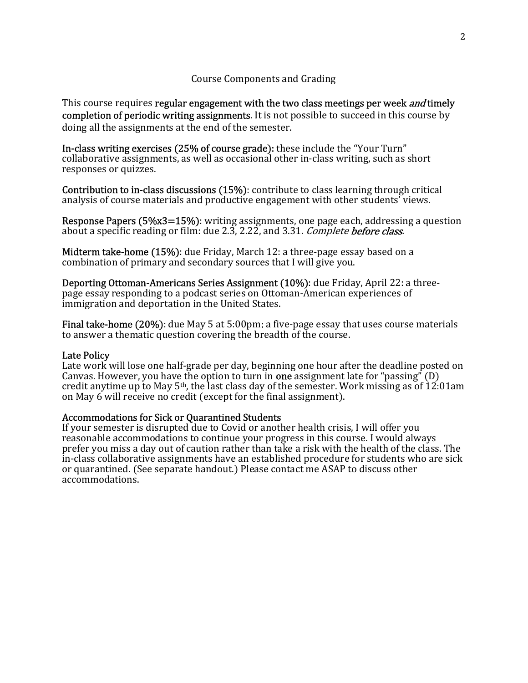#### Course Components and Grading

This course requires regular engagement with the two class meetings per week *and* timely completion of periodic writing assignments. It is not possible to succeed in this course by doing all the assignments at the end of the semester.

In-class writing exercises (25% of course grade): these include the "Your Turn" collaborative assignments, as well as occasional other in-class writing, such as short responses or quizzes.

Contribution to in-class discussions (15%): contribute to class learning through critical analysis of course materials and productive engagement with other students' views.

Response Papers (5%x3=15%): writing assignments, one page each, addressing a question about a specific reading or film: due 2.3, 2.22, and 3.31. *Complete before class*.

Midterm take-home (15%): due Friday, March 12: a three-page essay based on a combination of primary and secondary sources that I will give you.

Deporting Ottoman-Americans Series Assignment (10%): due Friday, April 22: a threepage essay responding to a podcast series on Ottoman-American experiences of immigration and deportation in the United States.

Final take-home (20%): due May 5 at 5:00pm: a five-page essay that uses course materials to answer a thematic question covering the breadth of the course.

#### Late Policy

Late work will lose one half-grade per day, beginning one hour after the deadline posted on Canvas. However, you have the option to turn in **one** assignment late for "passing" (D) credit anytime up to May  $5<sup>th</sup>$ , the last class day of the semester. Work missing as of 12:01am on May 6 will receive no credit (except for the final assignment).

#### Accommodations for Sick or Quarantined Students

If your semester is disrupted due to Covid or another health crisis, I will offer you reasonable accommodations to continue your progress in this course. I would always prefer you miss a day out of caution rather than take a risk with the health of the class. The in-class collaborative assignments have an established procedure for students who are sick or quarantined. (See separate handout.) Please contact me ASAP to discuss other accommodations.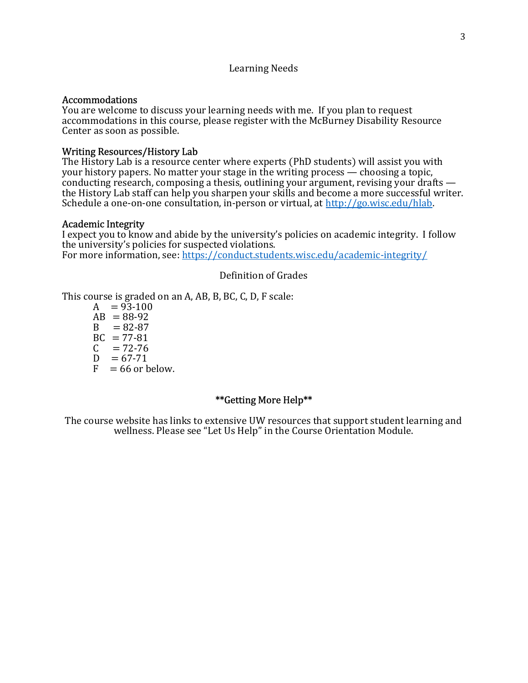#### Learning Needs

#### Accommodations

You are welcome to discuss your learning needs with me. If you plan to request accommodations in this course, please register with the McBurney Disability Resource Center as soon as possible.

#### Writing Resources/History Lab

The History Lab is a resource center where experts (PhD students) will assist you with your history papers. No matter your stage in the writing process — choosing a topic, conducting research, composing a thesis, outlining your argument, revising your drafts the History Lab staff can help you sharpen your skills and become a more successful writer. Schedule a one-on-one consultation, in-person or virtual, at http://go.wisc.edu/hlab.

#### Academic Integrity

I expect you to know and abide by the university's policies on academic integrity. I follow the university's policies for suspected violations. For more information, see: https://conduct.students.wisc.edu/academic-integrity/

#### Definition of Grades

This course is graded on an A, AB, B, BC, C, D, F scale:

 $A = 93-100$  $AB = 88-92$  $B = 82-87$  $BC = 77-81$  $C = 72-76$  $D = 67 - 71$  $F = 66$  or below.

### \*\*Getting More Help\*\*

The course website has links to extensive UW resources that support student learning and wellness. Please see "Let Us Help" in the Course Orientation Module.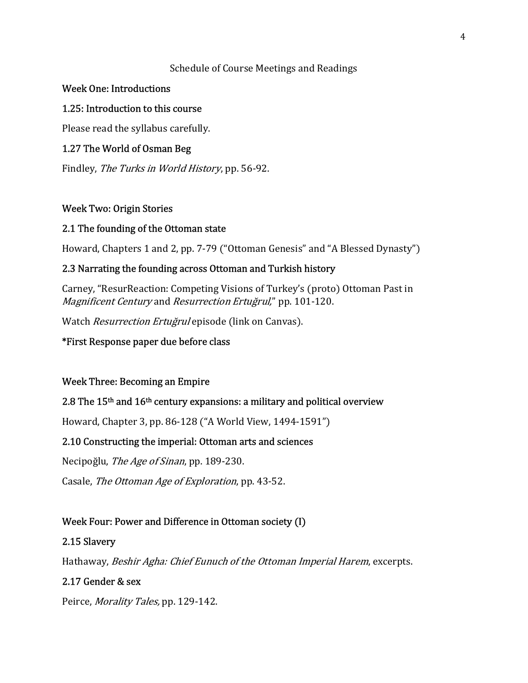### Schedule of Course Meetings and Readings

### Week One: Introductions

# 1.25: Introduction to this course

Please read the syllabus carefully.

# 1.27 The World of Osman Beg

Findley, The Turks in World History, pp. 56-92.

### Week Two: Origin Stories

### 2.1 The founding of the Ottoman state

Howard, Chapters 1 and 2, pp. 7-79 ("Ottoman Genesis" and "A Blessed Dynasty")

# 2.3 Narrating the founding across Ottoman and Turkish history

Carney, "ResurReaction: Competing Visions of Turkey's (proto) Ottoman Past in Magnificent Century and Resurrection Ertuğrul," pp. 101-120.

Watch Resurrection Ertuğrul episode (link on Canvas).

# \*First Response paper due before class

# Week Three: Becoming an Empire

# 2.8 The  $15<sup>th</sup>$  and  $16<sup>th</sup>$  century expansions: a military and political overview

Howard, Chapter 3, pp. 86-128 ("A World View, 1494-1591")

# 2.10 Constructing the imperial: Ottoman arts and sciences

Necipoğlu, The Age of Sinan, pp. 189-230.

Casale, The Ottoman Age of Exploration, pp. 43-52.

# Week Four: Power and Difference in Ottoman society (I)

### 2.15 Slavery

Hathaway, Beshir Agha: Chief Eunuch of the Ottoman Imperial Harem, excerpts.

### 2.17 Gender & sex

Peirce, Morality Tales, pp. 129-142.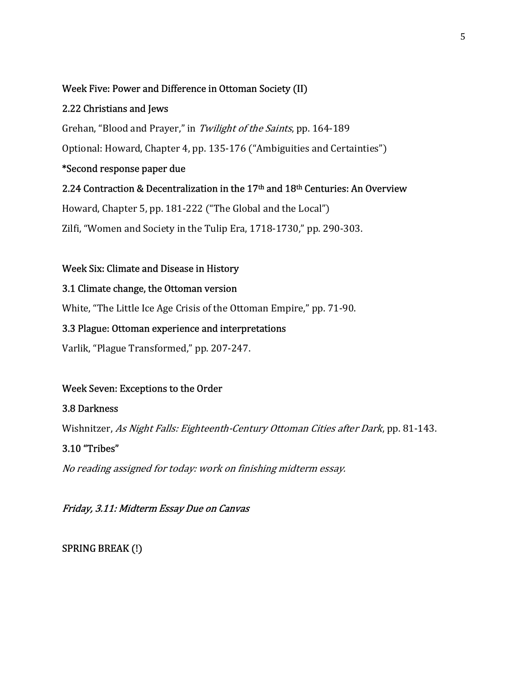### Week Five: Power and Difference in Ottoman Society (II)

### 2.22 Christians and Jews

Grehan, "Blood and Prayer," in Twilight of the Saints, pp. 164-189

Optional: Howard, Chapter 4, pp. 135-176 ("Ambiguities and Certainties")

# \*Second response paper due

# 2.24 Contraction & Decentralization in the 17<sup>th</sup> and 18<sup>th</sup> Centuries: An Overview

Howard, Chapter 5, pp. 181-222 ("The Global and the Local")

Zilfi, "Women and Society in the Tulip Era, 1718-1730," pp. 290-303.

### Week Six: Climate and Disease in History

### 3.1 Climate change, the Ottoman version

White, "The Little Ice Age Crisis of the Ottoman Empire," pp. 71-90.

### 3.3 Plague: Ottoman experience and interpretations

Varlik, "Plague Transformed," pp. 207-247.

# Week Seven: Exceptions to the Order

### 3.8 Darkness

Wishnitzer, As Night Falls: Eighteenth-Century Ottoman Cities after Dark, pp. 81-143.

# 3.10 "Tribes"

No reading assigned for today: work on finishing midterm essay.

# Friday, 3.11: Midterm Essay Due on Canvas

SPRING BREAK (!)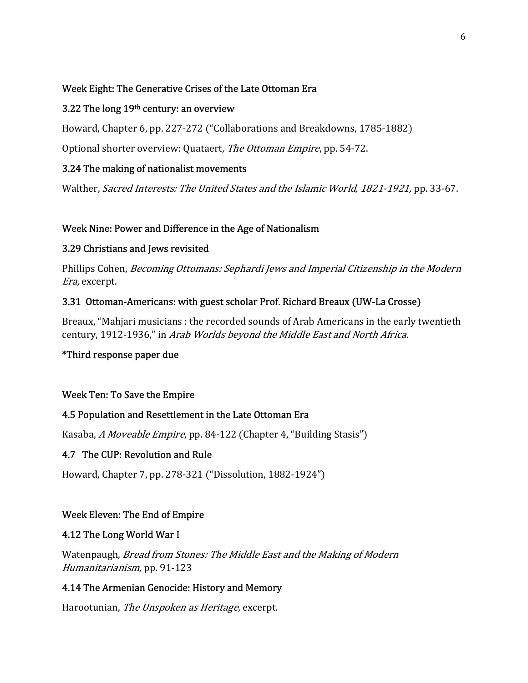### Week Eight: The Generative Crises of the Late Ottoman Era

### 3.22 The long  $19<sup>th</sup>$  century: an overview

Howard, Chapter 6, pp. 227-272 ("Collaborations and Breakdowns, 1785-1882)

Optional shorter overview: Quataert, The Ottoman Empire, pp. 54-72.

# 3.24 The making of nationalist movements

Walther, Sacred Interests: The United States and the Islamic World, 1821-1921, pp. 33-67.

# Week Nine: Power and Difference in the Age of Nationalism

### 3.29 Christians and Jews revisited

Phillips Cohen, Becoming Ottomans: Sephardi Jews and Imperial Citizenship in the Modern Era, excerpt.

# 3.31 Ottoman-Americans: with guest scholar Prof. Richard Breaux (UW-La Crosse)

Breaux, "Mahjari musicians : the recorded sounds of Arab Americans in the early twentieth century, 1912-1936," in Arab Worlds beyond the Middle East and North Africa.

# \*Third response paper due

# Week Ten: To Save the Empire

# 4.5 Population and Resettlement in the Late Ottoman Era

Kasaba, A Moveable Empire, pp. 84-122 (Chapter 4, "Building Stasis")

# 4.7 The CUP: Revolution and Rule

Howard, Chapter 7, pp. 278-321 ("Dissolution, 1882-1924")

# Week Eleven: The End of Empire

### 4.12 The Long World War I

Watenpaugh, Bread from Stones: The Middle East and the Making of Modern Humanitarianism, pp. 91-123

# 4.14 The Armenian Genocide: History and Memory

Harootunian, The Unspoken as Heritage, excerpt.